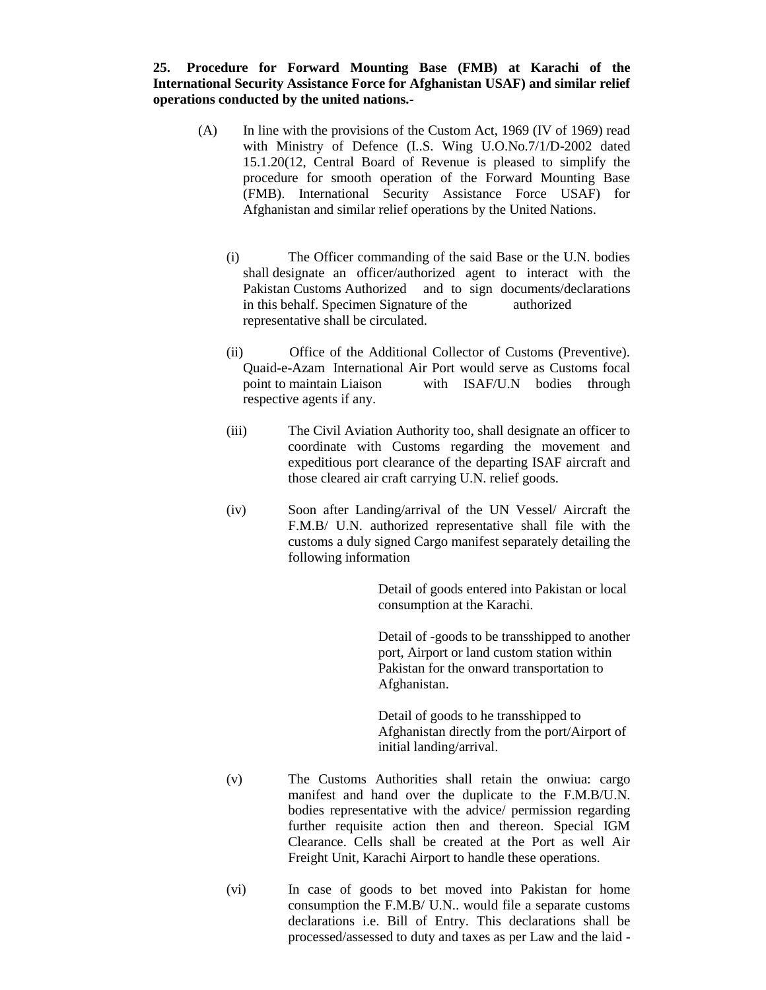**25. Procedure for Forward Mounting Base (FMB) at Karachi of the International Security Assistance Force for Afghanistan USAF) and similar relief operations conducted by the united nations.-**

- (A) In line with the provisions of the Custom Act, 1969 (IV of 1969) read with Ministry of Defence (I..S. Wing U.O.No.7/1/D-2002 dated 15.1.20(12, Central Board of Revenue is pleased to simplify the procedure for smooth operation of the Forward Mounting Base (FMB). International Security Assistance Force USAF) for Afghanistan and similar relief operations by the United Nations.
	- (i) The Officer commanding of the said Base or the U.N. bodies shall designate an officer/authorized agent to interact with the Pakistan Customs Authorized and to sign documents/declarations in this behalf. Specimen Signature of the authorized representative shall be circulated.
	- (ii) Office of the Additional Collector of Customs (Preventive). Quaid-e-Azam International Air Port would serve as Customs focal point to maintain Liaison with ISAF/U.N bodies through respective agents if any.
	- (iii) The Civil Aviation Authority too, shall designate an officer to coordinate with Customs regarding the movement and expeditious port clearance of the departing ISAF aircraft and those cleared air craft carrying U.N. relief goods.
	- (iv) Soon after Landing/arrival of the UN Vessel/ Aircraft the F.M.B/ U.N. authorized representative shall file with the customs a duly signed Cargo manifest separately detailing the following information

Detail of goods entered into Pakistan or local consumption at the Karachi.

Detail of -goods to be transshipped to another port, Airport or land custom station within Pakistan for the onward transportation to Afghanistan.

Detail of goods to he transshipped to Afghanistan directly from the port/Airport of initial landing/arrival.

- (v) The Customs Authorities shall retain the onwiua: cargo manifest and hand over the duplicate to the F.M.B/U.N. bodies representative with the advice/ permission regarding further requisite action then and thereon. Special IGM Clearance. Cells shall be created at the Port as well Air Freight Unit, Karachi Airport to handle these operations.
- (vi) In case of goods to bet moved into Pakistan for home consumption the F.M.B/ U.N.. would file a separate customs declarations i.e. Bill of Entry. This declarations shall be processed/assessed to duty and taxes as per Law and the laid -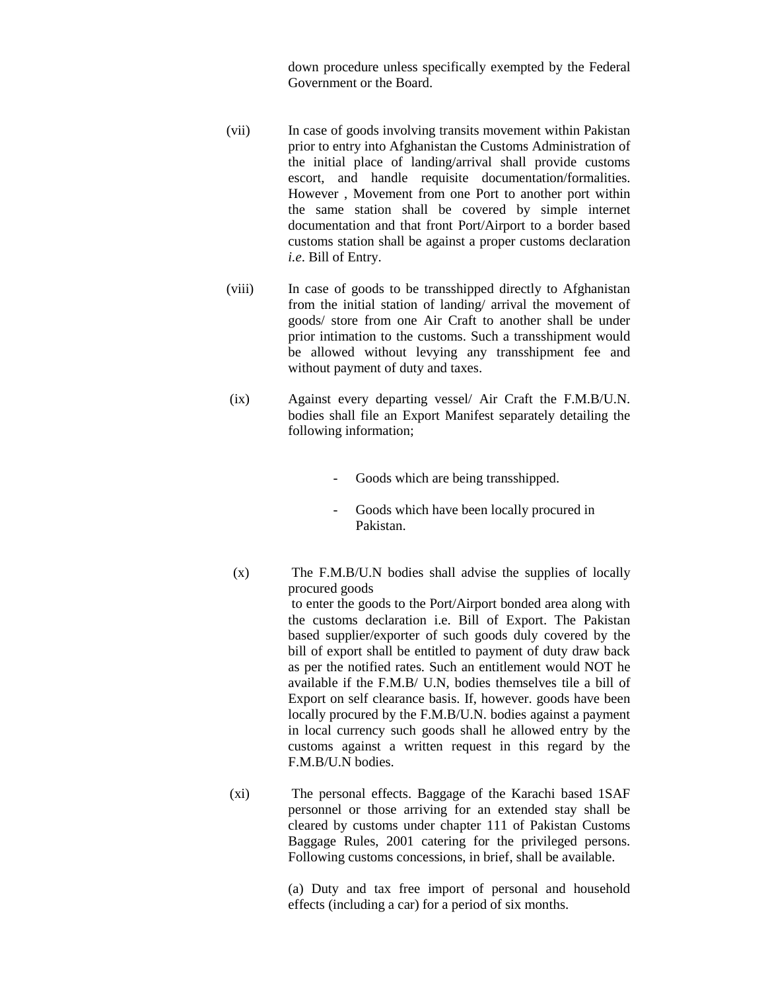down procedure unless specifically exempted by the Federal Government or the Board.

- (vii) In case of goods involving transits movement within Pakistan prior to entry into Afghanistan the Customs Administration of the initial place of landing/arrival shall provide customs escort, and handle requisite documentation/formalities. However , Movement from one Port to another port within the same station shall be covered by simple internet documentation and that front Port/Airport to a border based customs station shall be against a proper customs declaration *i.e*. Bill of Entry.
- (viii) In case of goods to be transshipped directly to Afghanistan from the initial station of landing/ arrival the movement of goods/ store from one Air Craft to another shall be under prior intimation to the customs. Such a transshipment would be allowed without levying any transshipment fee and without payment of duty and taxes.
- (ix) Against every departing vessel/ Air Craft the F.M.B/U.N. bodies shall file an Export Manifest separately detailing the following information;
	- Goods which are being transshipped.
	- Goods which have been locally procured in Pakistan.

 (x) The F.M.B/U.N bodies shall advise the supplies of locally procured goods to enter the goods to the Port/Airport bonded area along with the customs declaration i.e. Bill of Export. The Pakistan based supplier/exporter of such goods duly covered by the bill of export shall be entitled to payment of duty draw back as per the notified rates. Such an entitlement would NOT he available if the F.M.B/ U.N, bodies themselves tile a bill of Export on self clearance basis. If, however. goods have been locally procured by the F.M.B/U.N. bodies against a payment in local currency such goods shall he allowed entry by the customs against a written request in this regard by the F.M.B/U.N bodies.

(xi) The personal effects. Baggage of the Karachi based 1SAF personnel or those arriving for an extended stay shall be cleared by customs under chapter 111 of Pakistan Customs Baggage Rules, 2001 catering for the privileged persons. Following customs concessions, in brief, shall be available.

> (a) Duty and tax free import of personal and household effects (including a car) for a period of six months.